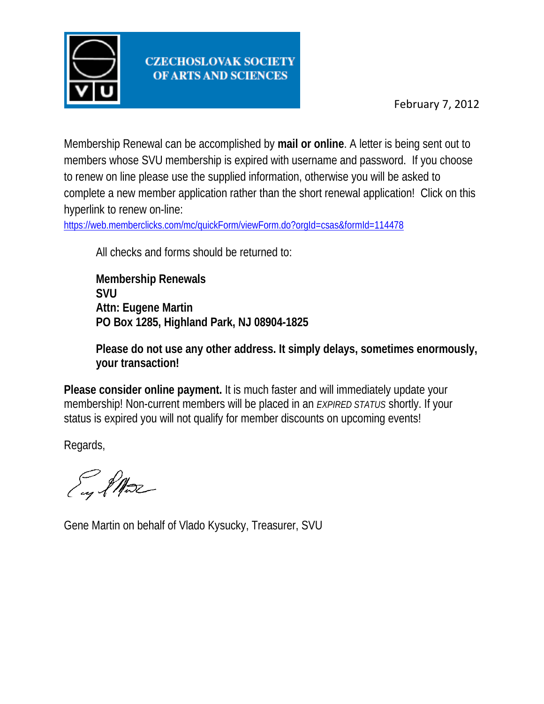

Membership Renewal can be accomplished by **mail or online**. A letter is being sent out to members whose SVU membership is expired with username and password. If you choose to renew on line please use the supplied information, otherwise you will be asked to complete a new member application rather than the short renewal application! Click on this hyperlink to renew on-line:

<https://web.memberclicks.com/mc/quickForm/viewForm.do?orgId=csas&formId=114478>

All checks and forms should be returned to:

**Membership Renewals SVU Attn: Eugene Martin PO Box 1285, Highland Park, NJ 08904-1825**

**Please do not use any other address. It simply delays, sometimes enormously, your transaction!**

**Please consider online payment.** It is much faster and will immediately update your membership! Non-current members will be placed in an *EXPIRED STATUS* shortly. If your status is expired you will not qualify for member discounts on upcoming events!

Regards,

I PAsse

Gene Martin on behalf of Vlado Kysucky, Treasurer, SVU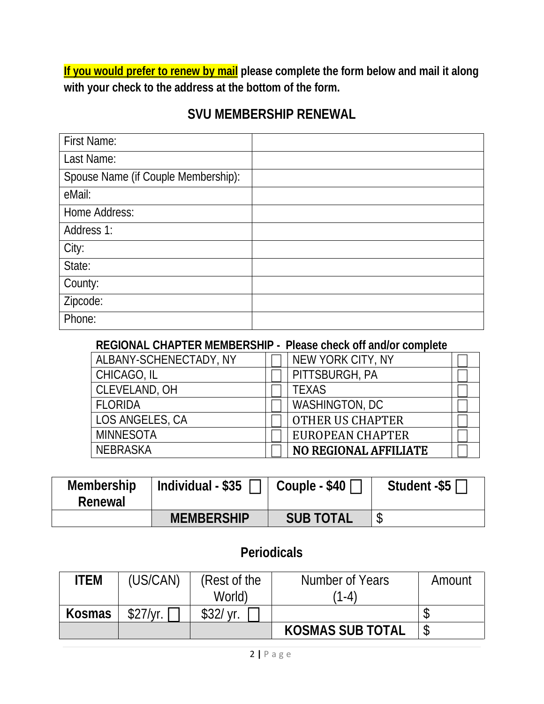**If you would prefer to renew by mail please complete the form below and mail it along with your check to the address at the bottom of the form.**

### **SVU MEMBERSHIP RENEWAL**

| <b>First Name:</b>                  |  |
|-------------------------------------|--|
| Last Name:                          |  |
| Spouse Name (if Couple Membership): |  |
| eMail:                              |  |
| Home Address:                       |  |
| Address 1:                          |  |
| City:                               |  |
| State:                              |  |
| County:                             |  |
| Zipcode:                            |  |
| Phone:                              |  |

#### **REGIONAL CHAPTER MEMBERSHIP - Please check off and/or complete**

| ALBANY-SCHENECTADY, NY | NEW YORK CITY, NY            |  |
|------------------------|------------------------------|--|
| CHICAGO, IL            | PITTSBURGH, PA               |  |
| CLEVELAND, OH          | <b>TEXAS</b>                 |  |
| <b>FLORIDA</b>         | WASHINGTON, DC               |  |
| LOS ANGELES, CA        | <b>OTHER US CHAPTER</b>      |  |
| <b>MINNESOTA</b>       | EUROPEAN CHAPTER             |  |
| <b>NFBRASKA</b>        | <b>NO REGIONAL AFFILIATE</b> |  |

| Membership<br>Renewal | Individual - \$35 | Couple - \$40    | Student -\$5 |
|-----------------------|-------------------|------------------|--------------|
|                       | <b>MEMBERSHIP</b> | <b>SUB TOTAL</b> |              |

### **Periodicals**

| ITEM          | (US/CAN) | (Rest of the | Number of Years         | Amount |
|---------------|----------|--------------|-------------------------|--------|
|               |          | World)       | $1 - 4$                 |        |
| <b>Kosmas</b> | \$27/vr. | $$32/$ yr.   |                         |        |
|               |          |              | <b>KOSMAS SUB TOTAL</b> |        |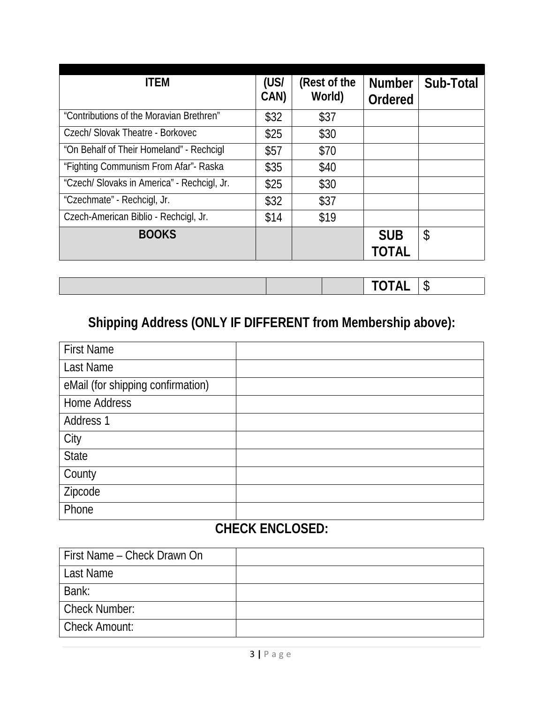| <b>ITEM</b>                                 | (US/<br>CAN) | (Rest of the<br>World) | <b>Number</b><br>Ordered | Sub-Total |
|---------------------------------------------|--------------|------------------------|--------------------------|-----------|
| "Contributions of the Moravian Brethren"    | \$32         | \$37                   |                          |           |
| Czech/ Slovak Theatre - Borkovec            | \$25         | \$30                   |                          |           |
| "On Behalf of Their Homeland" - Rechcigl    | \$57         | \$70                   |                          |           |
| "Fighting Communism From Afar"- Raska       | \$35         | \$40                   |                          |           |
| "Czech/ Slovaks in America" - Rechcigl, Jr. | \$25         | \$30                   |                          |           |
| "Czechmate" - Rechcigl, Jr.                 | \$32         | \$37                   |                          |           |
| Czech-American Biblio - Rechcigl, Jr.       | \$14         | \$19                   |                          |           |
| <b>BOOKS</b>                                |              |                        | <b>SUB</b>               | \$        |
|                                             |              |                        | TOTAL                    |           |

|  | <b>TOTAL</b> | $\sqrt{2}$<br>ື |
|--|--------------|-----------------|
|  |              |                 |

# **Shipping Address (ONLY IF DIFFERENT from Membership above):**

| <b>First Name</b>                 |  |
|-----------------------------------|--|
| Last Name                         |  |
| eMail (for shipping confirmation) |  |
| <b>Home Address</b>               |  |
| Address 1                         |  |
| City                              |  |
| <b>State</b>                      |  |
| County                            |  |
| Zipcode                           |  |
| Phone                             |  |

## **CHECK ENCLOSED:**

| First Name – Check Drawn On |  |
|-----------------------------|--|
| Last Name                   |  |
| Bank:                       |  |
| <b>Check Number:</b>        |  |
| <b>Check Amount:</b>        |  |